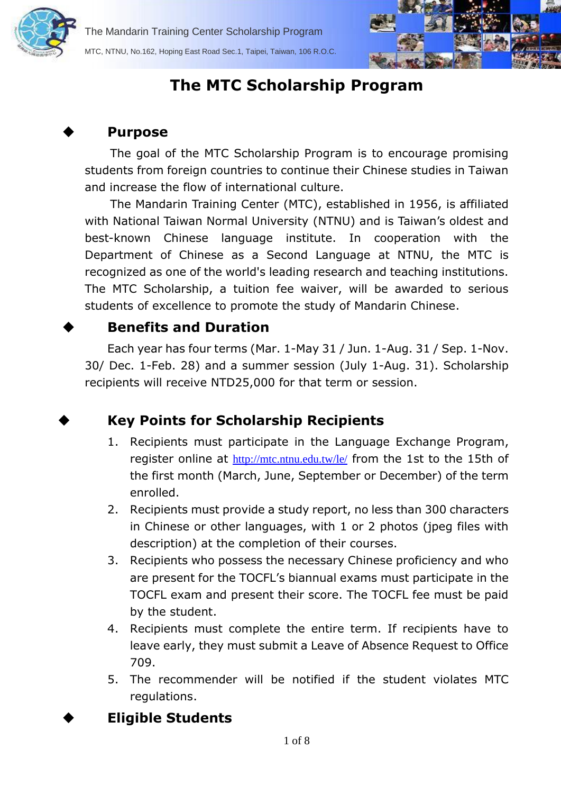



# **The MTC Scholarship Program**

#### **Purpose**

The goal of the MTC Scholarship Program is to encourage promising students from foreign countries to continue their Chinese studies in Taiwan and increase the flow of international culture.

The Mandarin Training Center (MTC), established in 1956, is affiliated with National Taiwan Normal University (NTNU) and is Taiwan's oldest and best-known Chinese language institute. In cooperation with the Department of Chinese as a Second Language at NTNU, the MTC is recognized as one of the world's leading research and teaching institutions. The MTC Scholarship, a tuition fee waiver, will be awarded to serious students of excellence to promote the study of Mandarin Chinese.

### **Benefits and Duration**

Each year has four terms (Mar. 1-May 31 / Jun. 1-Aug. 31 / Sep. 1-Nov. 30/ Dec. 1-Feb. 28) and a summer session (July 1-Aug. 31). Scholarship recipients will receive NTD25,000 for that term or session.

**Key Points for Scholarship Recipients**

- 1. Recipients must participate in the Language Exchange Program, register online at <http://mtc.ntnu.edu.tw/le/> from the 1st to the 15th of the first month (March, June, September or December) of the term enrolled.
- 2. Recipients must provide a study report, no less than 300 characters in Chinese or other languages, with 1 or 2 photos (jpeg files with description) at the completion of their courses.
- 3. Recipients who possess the necessary Chinese proficiency and who are present for the TOCFL's biannual exams must participate in the TOCFL exam and present their score. The TOCFL fee must be paid by the student.
- 4. Recipients must complete the entire term. If recipients have to leave early, they must submit a Leave of Absence Request to Office 709.
- 5. The recommender will be notified if the student violates MTC regulations.

# **Eligible Students**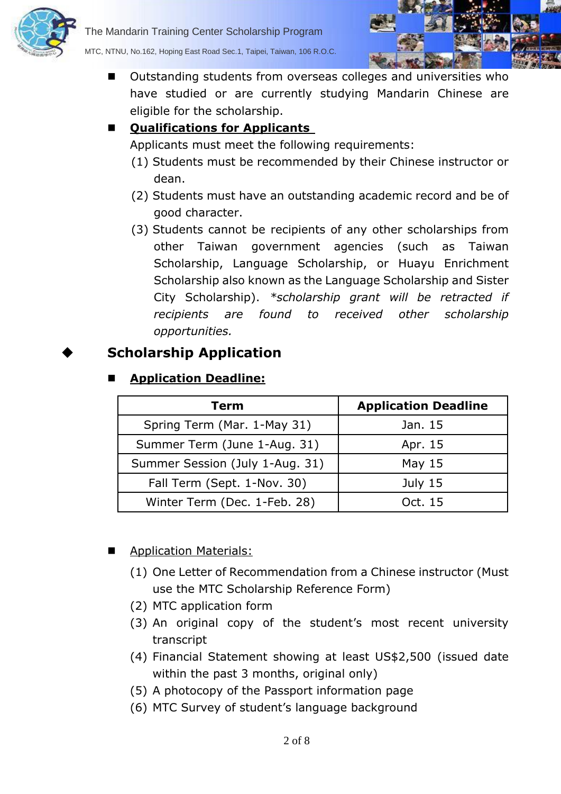



MTC, NTNU, No.162, Hoping East Road Sec.1, Taipei, Taiwan, 106 R.O.C.

 Outstanding students from overseas colleges and universities who have studied or are currently studying Mandarin Chinese are eligible for the scholarship.

#### **Qualifications for Applicants**

Applicants must meet the following requirements:

- (1) Students must be recommended by their Chinese instructor or dean.
- (2) Students must have an outstanding academic record and be of good character.
- (3) Students cannot be recipients of any other scholarships from other Taiwan government agencies (such as Taiwan Scholarship, Language Scholarship, or Huayu Enrichment Scholarship also known as the Language Scholarship and Sister City Scholarship). *\*scholarship grant will be retracted if recipients are found to received other scholarship opportunities.*

# **Scholarship Application**

#### **Application Deadline:**

| Term                            | <b>Application Deadline</b> |
|---------------------------------|-----------------------------|
| Spring Term (Mar. 1-May 31)     | Jan. 15                     |
| Summer Term (June 1-Aug. 31)    | Apr. 15                     |
| Summer Session (July 1-Aug. 31) | May $15$                    |
| Fall Term (Sept. 1-Nov. 30)     | July $15$                   |
| Winter Term (Dec. 1-Feb. 28)    | Oct. 15                     |

- Application Materials:
	- (1) One Letter of Recommendation from a Chinese instructor (Must use the MTC Scholarship Reference Form)
	- (2) MTC application form
	- (3) An original copy of the student's most recent university transcript
	- (4) Financial Statement showing at least US\$2,500 (issued date within the past 3 months, original only)
	- (5) A photocopy of the Passport information page
	- (6) MTC Survey of student's language background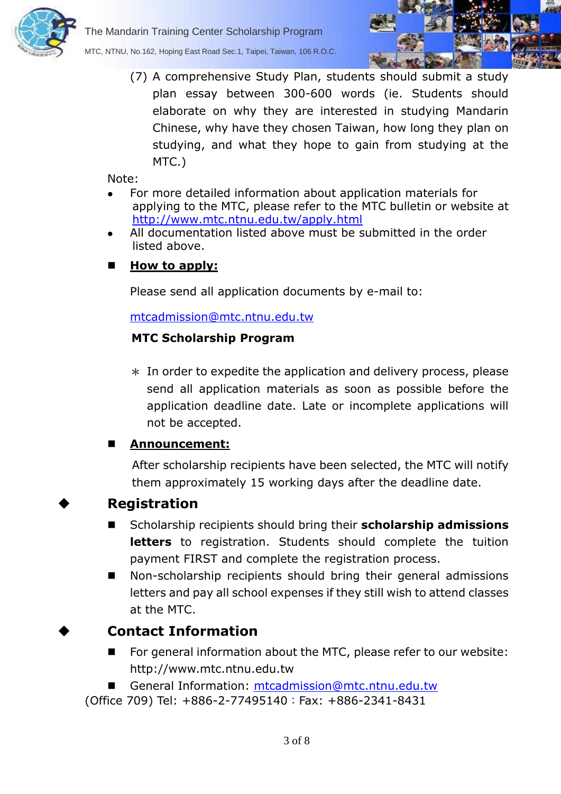

The Mandarin Training Center Scholarship Program MTC, NTNU, No.162, Hoping East Road Sec.1, Taipei, Taiwan, 106 R.O.C.



(7) A comprehensive Study Plan, students should submit a study plan essay between 300-600 words (ie. Students should elaborate on why they are interested in studying Mandarin Chinese, why have they chosen Taiwan, how long they plan on studying, and what they hope to gain from studying at the MTC.)

Note:

- For more detailed information about application materials for applying to the MTC, please refer to the MTC bulletin or website at <http://www.mtc.ntnu.edu.tw/apply.html>
- All documentation listed above must be submitted in the order listed above.

#### **How to apply:**

Please send all application documents by e-mail to:

[mtcadmission@mtc.ntnu.edu.tw](mailto:mtcadmission@mtc.ntnu.edu.tw) 

#### **MTC Scholarship Program**

 $*$  In order to expedite the application and delivery process, please send all application materials as soon as possible before the application deadline date. Late or incomplete applications will not be accepted.

#### **Announcement:**

After scholarship recipients have been selected, the MTC will notify them approximately 15 working days after the deadline date.



#### **Registration**

- Scholarship recipients should bring their **scholarship admissions letters** to registration. Students should complete the tuition payment FIRST and complete the registration process.
- Non-scholarship recipients should bring their general admissions letters and pay all school expenses if they still wish to attend classes at the MTC.

#### **Contact Information**

- For general information about the MTC, please refer to our website: http://www.mtc.ntnu.edu.tw
- General Information: [mtcadmission@mtc.ntnu.edu.tw](mailto:mtcadmission@mtc.ntnu.edu.tw)

(Office 709) Tel: +886-2-77495140;Fax: +886-2341-8431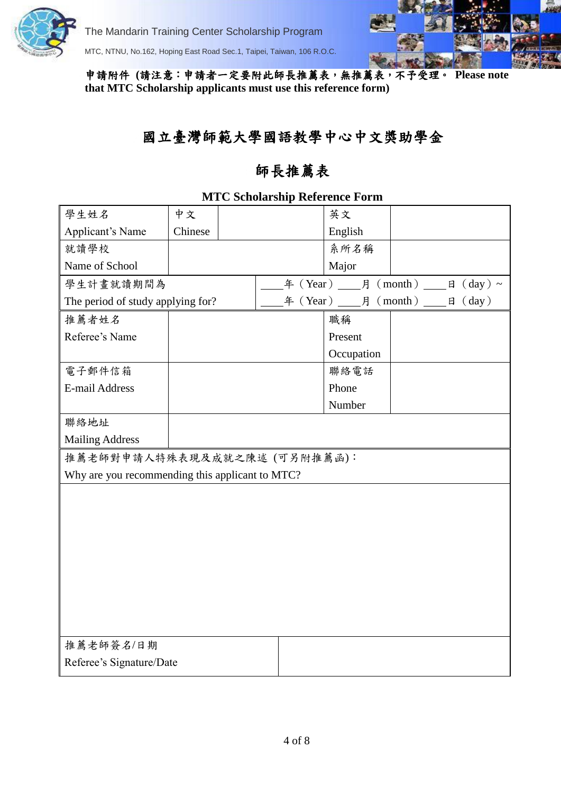

E-mail Address

Mailing Address

聯絡地址

The Mandarin Training Center Scholarship Program

MTC, NTNU, No.162, Hoping East Road Sec.1, Taipei, Taiwan, 106 R.O.C.

推薦老師對申請人特殊表現及成就之陳述 (可另附推薦函):

Why are you recommending this applicant to MTC?

申請附件 **(**請注意:申請者一定要附此師長推薦表,無推薦表,不予受理。 **Please note that MTC Scholarship applicants must use this reference form)**

# 國立臺灣師範大學國語教學中心中文獎助學金

## 師長推薦表

| 學生姓名                              | 中文      |  | 英文                                                                        |  |
|-----------------------------------|---------|--|---------------------------------------------------------------------------|--|
| Applicant's Name                  | Chinese |  | English                                                                   |  |
| 就讀學校                              |         |  | 系所名稱                                                                      |  |
| Name of School                    |         |  | Major                                                                     |  |
| 學生計畫就讀期間為                         |         |  | $\text{f}(\text{Year})$ $\text{f}(\text{month})$ $\text{f}(\text{day})$ ~ |  |
| The period of study applying for? |         |  |                                                                           |  |
| 推薦者姓名                             |         |  | 職稱                                                                        |  |
| Referee's Name                    |         |  | Present                                                                   |  |
|                                   |         |  | Occupation                                                                |  |
| 電子郵件信箱                            |         |  | 聯絡電話                                                                      |  |

Phone Number

#### **MTC Scholarship Reference Form**

| 推薦老師簽名/日期                |  |
|--------------------------|--|
| Referee's Signature/Date |  |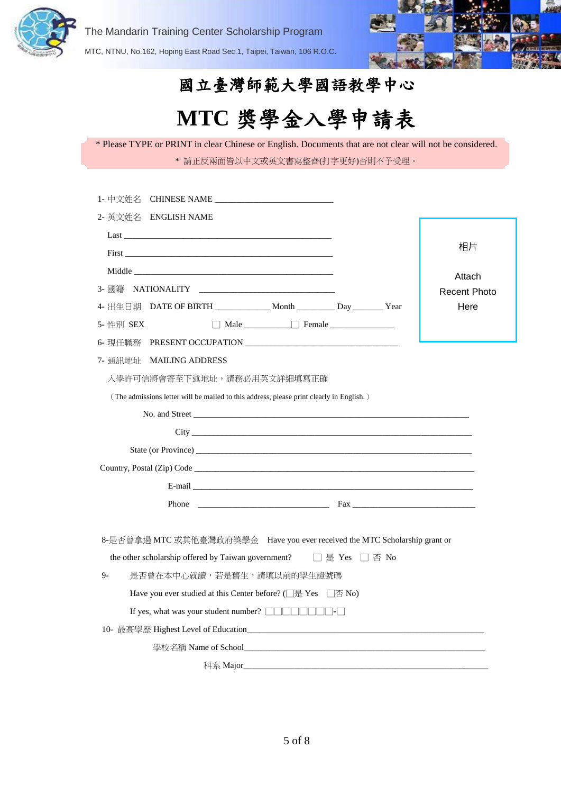



# 國立臺灣師範大學國語教學中心

# **MTC** 獎學金入學申請表

| * Please TYPE or PRINT in clear Chinese or English. Documents that are not clear will not be considered. |  |
|----------------------------------------------------------------------------------------------------------|--|
| * 請正反兩面皆以中文或英文書寫整齊(打字更好)否則不予受理。                                                                          |  |

| 2- 英文姓名 ENGLISH NAME                                                                                                                                                                                                           |                |                     |
|--------------------------------------------------------------------------------------------------------------------------------------------------------------------------------------------------------------------------------|----------------|---------------------|
|                                                                                                                                                                                                                                |                |                     |
|                                                                                                                                                                                                                                |                | 相片                  |
| Middle and the state of the state of the state of the state of the state of the state of the state of the state of the state of the state of the state of the state of the state of the state of the state of the state of the |                | Attach              |
| 3- 國籍<br>NATIONALITY NATIONALITY                                                                                                                                                                                               |                | <b>Recent Photo</b> |
| 4- 出生日期 DATE OF BIRTH ______________ Month __________ Day ________ Year                                                                                                                                                        |                | Here                |
| Male Female<br>5- 性別 SEX                                                                                                                                                                                                       |                |                     |
|                                                                                                                                                                                                                                |                |                     |
| 7- 通訊地址 MAILING ADDRESS                                                                                                                                                                                                        |                |                     |
| 入學許可信將會寄至下述地址,請務必用英文詳細填寫正確                                                                                                                                                                                                     |                |                     |
| (The admissions letter will be mailed to this address, please print clearly in English.)                                                                                                                                       |                |                     |
|                                                                                                                                                                                                                                |                |                     |
| City Leader and the contract of the contract of the contract of the contract of the contract of the contract of the contract of the contract of the contract of the contract of the contract of the contract of the contract o |                |                     |
|                                                                                                                                                                                                                                |                |                     |
| Country, Postal (Zip) Code                                                                                                                                                                                                     |                |                     |
|                                                                                                                                                                                                                                |                |                     |
| Phone $\qquad \qquad$ Fax $\qquad \qquad$ Fax $\qquad \qquad$                                                                                                                                                                  |                |                     |
|                                                                                                                                                                                                                                |                |                     |
| 8-是否曾拿過 MTC 或其他臺灣政府獎學金 Have you ever received the MTC Scholarship grant or                                                                                                                                                     |                |                     |
| the other scholarship offered by Taiwan government?                                                                                                                                                                            | □ 是 Yes □ 否 No |                     |
| $9-$<br>是否曾在本中心就讀,若是舊生,請填以前的學生證號碼                                                                                                                                                                                              |                |                     |
| Have you ever studied at this Center before? ( $\Box \#$ Yes $\Box \textcircled{f}$ No)                                                                                                                                        |                |                     |
|                                                                                                                                                                                                                                |                |                     |
|                                                                                                                                                                                                                                |                |                     |
|                                                                                                                                                                                                                                |                |                     |
| 科系 Major_                                                                                                                                                                                                                      |                |                     |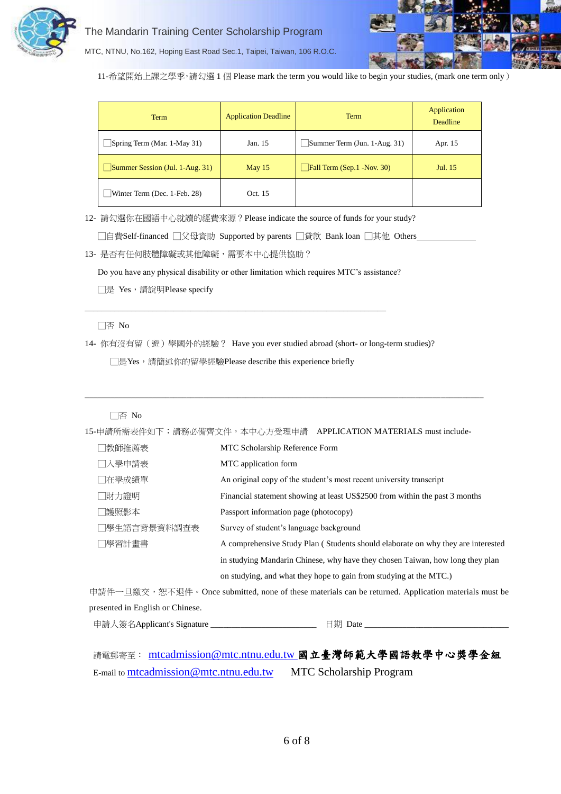



MTC, NTNU, No.162, Hoping East Road Sec.1, Taipei, Taiwan, 106 R.O.C.

11-希望開始上課之學季,請勾選 1 個 Please mark the term you would like to begin your studies, (mark one term only)

| Term                                    | <b>Application Deadline</b> | Term                         | Application<br>Deadline |
|-----------------------------------------|-----------------------------|------------------------------|-------------------------|
| Spring Term (Mar. 1-May 31)             | Jan. 15                     | Summer Term (Jun. 1-Aug. 31) | Apr. 15                 |
| $\vert$ Summer Session (Jul. 1-Aug. 31) | May $15$                    | Fall Term (Sep.1 -Nov. 30)   | Jul. 15                 |
| Winter Term (Dec. 1-Feb. 28)            | Oct. 15                     |                              |                         |

12- 請勾選你在國語中心就讀的經費來源?Please indicate the source of funds for your study?

□自費Self-financed □父母資助 Supported by parents □貸款 Bank loan □其他 Others

13- 是否有任何肢體障礙或其他障礙,需要本中心提供協助?

Do you have any physical disability or other limitation which requires MTC's assistance?

□是 Yes, 請說明Please specify

□否 No

14- 你有沒有留(遊)學國外的經驗? Have you ever studied abroad (short- or long-term studies)?

□是Yes, 請簡述你的留學經驗Please describe this experience briefly

\_\_\_\_\_\_\_\_\_\_\_\_\_\_\_\_\_\_\_\_\_\_\_\_\_\_\_\_\_\_\_\_\_\_\_\_\_\_\_\_\_\_\_\_\_\_\_\_\_\_\_\_\_\_\_\_\_\_\_\_\_\_\_\_\_\_\_\_\_\_\_

#### □否 No

15-申請所需表件如下;請務必備齊文件,本中心方受理申請 APPLICATION MATERIALS must include-

 $\_$  ,  $\_$  ,  $\_$  ,  $\_$  ,  $\_$  ,  $\_$  ,  $\_$  ,  $\_$  ,  $\_$  ,  $\_$  ,  $\_$  ,  $\_$  ,  $\_$  ,  $\_$  ,  $\_$  ,  $\_$  ,  $\_$  ,  $\_$  ,  $\_$  ,  $\_$  ,  $\_$  ,  $\_$  ,  $\_$  ,  $\_$  ,  $\_$  ,  $\_$  ,  $\_$  ,  $\_$  ,  $\_$  ,  $\_$  ,  $\_$  ,  $\_$  ,  $\_$  ,  $\_$  ,  $\_$  ,  $\_$  ,  $\_$  ,

| □教師推薦表       | MTC Scholarship Reference Form                                                   |
|--------------|----------------------------------------------------------------------------------|
| □入學申請表       | MTC application form                                                             |
| □在學成績單       | An original copy of the student's most recent university transcript              |
| □財力證明        | Financial statement showing at least US\$2500 from within the past 3 months      |
| □護照影本        | Passport information page (photocopy)                                            |
| □學生語言背景資料調查表 | Survey of student's language background                                          |
| □學習計畫書       | A comprehensive Study Plan (Students should elaborate on why they are interested |
|              | in studying Mandarin Chinese, why have they chosen Taiwan, how long they plan    |
|              | on studying, and what they hope to gain from studying at the MTC.)               |

申請件一旦繳交,恕不退件。Once submitted, none of these materials can be returned. Application materials must be presented in English or Chinese.

申請人簽名Applicant's Signature \_\_\_\_\_\_\_\_\_\_\_\_\_\_\_\_\_\_\_\_\_\_\_\_\_ 日期 Date \_\_\_\_\_\_\_\_\_\_\_\_\_\_\_\_\_\_\_\_\_\_\_\_\_\_\_\_\_\_\_\_\_\_

|                                        | 請電郵寄至: mtcadmission@mtc.ntnu.edu.tw 國立臺灣師範大學國語教學中心獎學金組 |
|----------------------------------------|--------------------------------------------------------|
| E-mail to mtcadmission@mtc.ntnu.edu.tw | <b>MTC Scholarship Program</b>                         |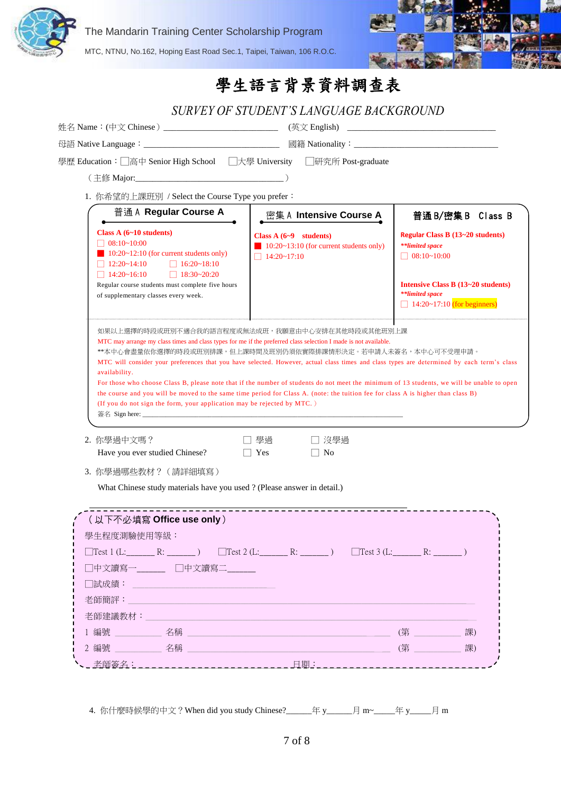

The Mandarin Training Center Scholarship Program

MTC, NTNU, No.162, Hoping East Road Sec.1, Taipei, Taiwan, 106 R.O.C.



| SURVEY OF STUDENT'S LANGUAGE BACKGROUND                                                                                                                                                                                                                                                                                                                                                                                                                                                                                                        |                                                                                                         |                                                                                             |
|------------------------------------------------------------------------------------------------------------------------------------------------------------------------------------------------------------------------------------------------------------------------------------------------------------------------------------------------------------------------------------------------------------------------------------------------------------------------------------------------------------------------------------------------|---------------------------------------------------------------------------------------------------------|---------------------------------------------------------------------------------------------|
|                                                                                                                                                                                                                                                                                                                                                                                                                                                                                                                                                |                                                                                                         |                                                                                             |
|                                                                                                                                                                                                                                                                                                                                                                                                                                                                                                                                                |                                                                                                         |                                                                                             |
| 學歷 Education: □高中 Senior High School □大學 University □研究所 Post-graduate                                                                                                                                                                                                                                                                                                                                                                                                                                                                         |                                                                                                         |                                                                                             |
|                                                                                                                                                                                                                                                                                                                                                                                                                                                                                                                                                |                                                                                                         |                                                                                             |
| 1. 你希望的上課班別 / Select the Course Type you prefer:                                                                                                                                                                                                                                                                                                                                                                                                                                                                                               |                                                                                                         |                                                                                             |
| 普通 A Regular Course A                                                                                                                                                                                                                                                                                                                                                                                                                                                                                                                          | 密集 A Intensive Course A                                                                                 | 普通 B/密集 B Class B                                                                           |
| Class A $(6-10$ students)<br>$\Box$ 08:10~10:00<br>$\blacksquare$ 10:20~12:10 (for current students only)<br>$\Box$ 16:20~18:10<br>$\Box$ 12:20~14:10<br>$\Box$ 18:30~20:20<br>$\Box$ 14:20~16:10                                                                                                                                                                                                                                                                                                                                              | Class $A(6-9$ students)<br>$\blacksquare$ 10:20~13:10 (for current students only)<br>$\Box$ 14:20~17:10 | Regular Class B (13~20 students)<br>**limited space<br>$\Box$ 08:10~10:00                   |
| Regular course students must complete five hours<br>of supplementary classes every week.                                                                                                                                                                                                                                                                                                                                                                                                                                                       |                                                                                                         | Intensive Class B (13~20 students)<br>**limited space<br>$\Box$ 14:20~17:10 (for beginners) |
| 如果以上選擇的時段或班別不適合我的語言程度或無法成班,我願意由中心安排在其他時段或其他班別上課<br>MTC may arrange my class times and class types for me if the preferred class selection I made is not available.<br>**本中心會盡量依你選擇的時段或班別排課,但上課時間及班別仍須依實際排課情形決定。若申請人未簽名,本中心可不受理申請。<br>MTC will consider your preferences that you have selected. However, actual class times and class types are determined by each term's class<br>availability.<br>For those who choose Class B, please note that if the number of students do not meet the minimum of 13 students, we will be unable to open |                                                                                                         |                                                                                             |
| the course and you will be moved to the same time period for Class A. (note: the tuition fee for class A is higher than class B)<br>(If you do not sign the form, your application may be rejected by MTC.)<br>2. 你學過中文嗎?                                                                                                                                                                                                                                                                                                                      | ヿ 沒學過<br>學過                                                                                             |                                                                                             |
| Have you ever studied Chinese?<br>3. 你學過哪些教材? (請詳細填寫)                                                                                                                                                                                                                                                                                                                                                                                                                                                                                          | $\Box$ Yes<br>    No                                                                                    |                                                                                             |
| What Chinese study materials have you used ? (Please answer in detail.)<br>(以下不必填寫 Office use only)<br>學生程度測驗使用等級:<br>$\Box Test 1 (L: \_ \_ \_ \_ \_ \_ \_ \_ ) \qquad \Box Test 2 (L: \_ \_ \_ \_ \_ ) \qquad \Box Test 3 (L: \_ \_ \_ \_ \_ )$<br>□中文讀寫一______ □中文讀寫二______                                                                                                                                                                                                                                                                 | _ _ _ _ _ _ _ _ _ _ _ _ _ _ _ _ _                                                                       |                                                                                             |
| □試成績: <u>_____________________________</u> __<br>老師簡評:                                                                                                                                                                                                                                                                                                                                                                                                                                                                                         |                                                                                                         |                                                                                             |
| 老師建議教材:                                                                                                                                                                                                                                                                                                                                                                                                                                                                                                                                        |                                                                                                         |                                                                                             |
| 1編號 2008年 2009年 2009年 2月20日 12:00 12:00 12:00 12:00 12:00 12:00 12:00 12:00 12:00 12:00 12:00 12:00 12:00 12:0                                                                                                                                                                                                                                                                                                                                                                                                                                 |                                                                                                         | 課)                                                                                          |

4. 你什麼時候學的中文?When did you study Chinese?\_\_\_\_\_\_年 y\_\_\_\_\_\_月 m~\_\_\_\_\_年 y\_\_\_\_\_月 m